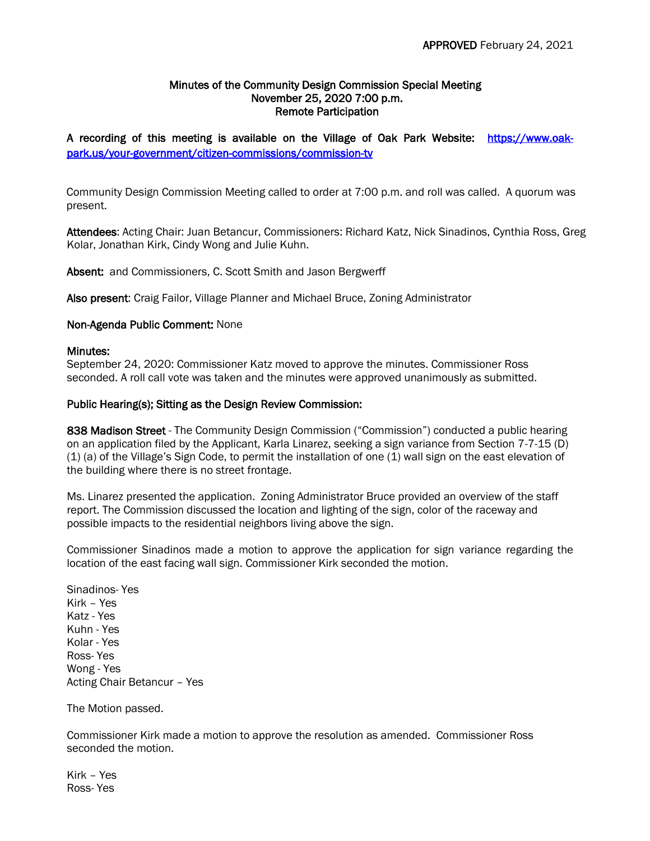## Minutes of the Community Design Commission Special Meeting November 25, 2020 7:00 p.m. Remote Participation

# A recording of this meeting is available on the Village of Oak Park Website: [https://www.oak](https://www.oak-park.us/your-government/citizen-commissions/commission-tv)[park.us/your-government/citizen-commissions/commission-tv](https://www.oak-park.us/your-government/citizen-commissions/commission-tv)

Community Design Commission Meeting called to order at 7:00 p.m. and roll was called. A quorum was present.

Attendees: Acting Chair: Juan Betancur, Commissioners: Richard Katz, Nick Sinadinos, Cynthia Ross, Greg Kolar, Jonathan Kirk, Cindy Wong and Julie Kuhn.

Absent: and Commissioners, C. Scott Smith and Jason Bergwerff

Also present: Craig Failor, Village Planner and Michael Bruce, Zoning Administrator

## Non-Agenda Public Comment: None

#### Minutes:

September 24, 2020: Commissioner Katz moved to approve the minutes. Commissioner Ross seconded. A roll call vote was taken and the minutes were approved unanimously as submitted.

#### Public Hearing(s); Sitting as the Design Review Commission:

838 Madison Street - The Community Design Commission ("Commission") conducted a public hearing on an application filed by the Applicant, Karla Linarez, seeking a sign variance from Section 7-7-15 (D) (1) (a) of the Village's Sign Code, to permit the installation of one (1) wall sign on the east elevation of the building where there is no street frontage.

Ms. Linarez presented the application. Zoning Administrator Bruce provided an overview of the staff report. The Commission discussed the location and lighting of the sign, color of the raceway and possible impacts to the residential neighbors living above the sign.

Commissioner Sinadinos made a motion to approve the application for sign variance regarding the location of the east facing wall sign. Commissioner Kirk seconded the motion.

Sinadinos- Yes Kirk – Yes Katz - Yes Kuhn - Yes Kolar - Yes Ross- Yes Wong - Yes Acting Chair Betancur – Yes

The Motion passed.

Commissioner Kirk made a motion to approve the resolution as amended. Commissioner Ross seconded the motion.

Kirk – Yes Ross- Yes